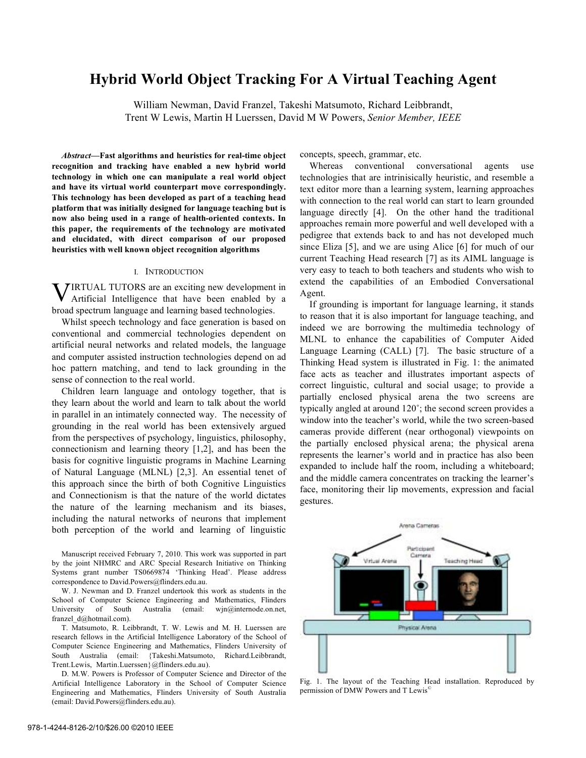# **Hybrid World Object Tracking For A Virtual Teaching Agent**

William Newman, David Franzel, Takeshi Matsumoto, Richard Leibbrandt, Trent W Lewis, Martin H Luerssen, David M W Powers, *Senior Member, IEEE*

*Abstract***—Fast algorithms and heuristics for real-time object recognition and tracking have enabled a new hybrid world technology in which one can manipulate a real world object and have its virtual world counterpart move correspondingly. This technology has been developed as part of a teaching head platform that was initially designed for language teaching but is now also being used in a range of health-oriented contexts. In this paper, the requirements of the technology are motivated and elucidated, with direct comparison of our proposed heuristics with well known object recognition algorithms** 

#### I. INTRODUCTION

**VIRTUAL TUTORS** are an exciting new development in Artificial Intelligence that have been enabled by a Artificial Intelligence that have been enabled by a broad spectrum language and learning based technologies.

Whilst speech technology and face generation is based on conventional and commercial technologies dependent on artificial neural networks and related models, the language and computer assisted instruction technologies depend on ad hoc pattern matching, and tend to lack grounding in the sense of connection to the real world.

Children learn language and ontology together, that is they learn about the world and learn to talk about the world in parallel in an intimately connected way. The necessity of grounding in the real world has been extensively argued from the perspectives of psychology, linguistics, philosophy, connectionism and learning theory [1,2], and has been the basis for cognitive linguistic programs in Machine Learning of Natural Language (MLNL) [2,3]. An essential tenet of this approach since the birth of both Cognitive Linguistics and Connectionism is that the nature of the world dictates the nature of the learning mechanism and its biases, including the natural networks of neurons that implement both perception of the world and learning of linguistic

Manuscript received February 7, 2010. This work was supported in part by the joint NHMRC and ARC Special Research Initiative on Thinking Systems grant number TS0669874 'Thinking Head'. Please address correspondence to David.Powers@flinders.edu.au.

W. J. Newman and D. Franzel undertook this work as students in the School of Computer Science Engineering and Mathematics, Flinders University of South Australia (email: win@internode.on.net, franzel\_d@hotmail.com).

T. Matsumoto, R. Leibbrandt, T. W. Lewis and M. H. Luerssen are research fellows in the Artificial Intelligence Laboratory of the School of Computer Science Engineering and Mathematics, Flinders University of South Australia (email: {Takeshi.Matsumoto, Richard.Leibbrandt, Trent.Lewis, Martin.Luerssen}@flinders.edu.au).

D. M.W. Powers is Professor of Computer Science and Director of the Artificial Intelligence Laboratory in the School of Computer Science Engineering and Mathematics, Flinders University of South Australia (email: David.Powers@flinders.edu.au).

concepts, speech, grammar, etc.

Whereas conventional conversational agents use technologies that are intrinisically heuristic, and resemble a text editor more than a learning system, learning approaches with connection to the real world can start to learn grounded language directly [4]. On the other hand the traditional approaches remain more powerful and well developed with a pedigree that extends back to and has not developed much since Eliza [5], and we are using Alice [6] for much of our current Teaching Head research [7] as its AIML language is very easy to teach to both teachers and students who wish to extend the capabilities of an Embodied Conversational Agent.

If grounding is important for language learning, it stands to reason that it is also important for language teaching, and indeed we are borrowing the multimedia technology of MLNL to enhance the capabilities of Computer Aided Language Learning (CALL) [7]. The basic structure of a Thinking Head system is illustrated in Fig. 1: the animated face acts as teacher and illustrates important aspects of correct linguistic, cultural and social usage; to provide a partially enclosed physical arena the two screens are typically angled at around 120˚; the second screen provides a window into the teacher's world, while the two screen-based cameras provide different (near orthogonal) viewpoints on the partially enclosed physical arena; the physical arena represents the learner's world and in practice has also been expanded to include half the room, including a whiteboard; and the middle camera concentrates on tracking the learner's face, monitoring their lip movements, expression and facial gestures.



Fig. 1. The layout of the Teaching Head installation. Reproduced by permission of DMW Powers and T Lewis©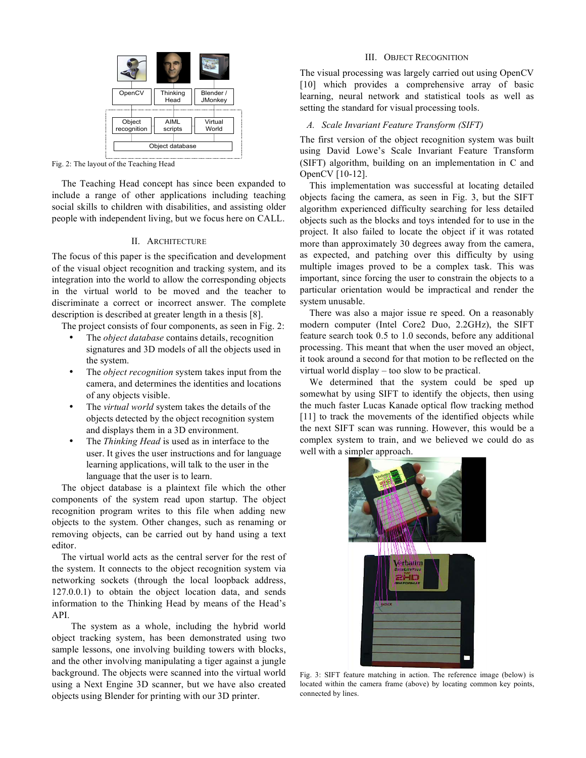

Fig. 2: The layout of the Teaching Head

The Teaching Head concept has since been expanded to include a range of other applications including teaching social skills to children with disabilities, and assisting older people with independent living, but we focus here on CALL.

### II. ARCHITECTURE

The focus of this paper is the specification and development of the visual object recognition and tracking system, and its integration into the world to allow the corresponding objects in the virtual world to be moved and the teacher to discriminate a correct or incorrect answer. The complete description is described at greater length in a thesis [8].

The project consists of four components, as seen in Fig. 2:

- The *object database* contains details, recognition signatures and 3D models of all the objects used in the system.
- The *object recognition* system takes input from the camera, and determines the identities and locations of any objects visible.
- The *virtual world* system takes the details of the objects detected by the object recognition system and displays them in a 3D environment.
- The *Thinking Head* is used as in interface to the user. It gives the user instructions and for language learning applications, will talk to the user in the language that the user is to learn.

The object database is a plaintext file which the other components of the system read upon startup. The object recognition program writes to this file when adding new objects to the system. Other changes, such as renaming or removing objects, can be carried out by hand using a text editor.

The virtual world acts as the central server for the rest of the system. It connects to the object recognition system via networking sockets (through the local loopback address, 127.0.0.1) to obtain the object location data, and sends information to the Thinking Head by means of the Head's API.

The system as a whole, including the hybrid world object tracking system, has been demonstrated using two sample lessons, one involving building towers with blocks, and the other involving manipulating a tiger against a jungle background. The objects were scanned into the virtual world using a Next Engine 3D scanner, but we have also created objects using Blender for printing with our 3D printer.

### III. OBJECT RECOGNITION

The visual processing was largely carried out using OpenCV [10] which provides a comprehensive array of basic learning, neural network and statistical tools as well as setting the standard for visual processing tools.

#### *A. Scale Invariant Feature Transform (SIFT)*

The first version of the object recognition system was built using David Lowe's Scale Invariant Feature Transform (SIFT) algorithm, building on an implementation in C and OpenCV [10-12].

This implementation was successful at locating detailed objects facing the camera, as seen in Fig. 3, but the SIFT algorithm experienced difficulty searching for less detailed objects such as the blocks and toys intended for to use in the project. It also failed to locate the object if it was rotated more than approximately 30 degrees away from the camera, as expected, and patching over this difficulty by using multiple images proved to be a complex task. This was important, since forcing the user to constrain the objects to a particular orientation would be impractical and render the system unusable.

There was also a major issue re speed. On a reasonably modern computer (Intel Core2 Duo, 2.2GHz), the SIFT feature search took 0.5 to 1.0 seconds, before any additional processing. This meant that when the user moved an object, it took around a second for that motion to be reflected on the virtual world display – too slow to be practical.

We determined that the system could be sped up somewhat by using SIFT to identify the objects, then using the much faster Lucas Kanade optical flow tracking method [11] to track the movements of the identified objects while the next SIFT scan was running. However, this would be a complex system to train, and we believed we could do as well with a simpler approach.



Fig. 3: SIFT feature matching in action. The reference image (below) is located within the camera frame (above) by locating common key points, connected by lines.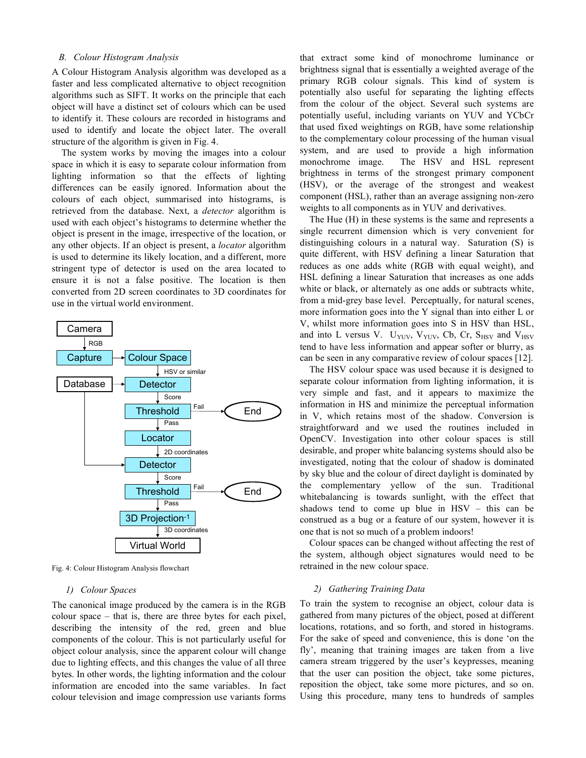## *B. Colour Histogram Analysis*

A Colour Histogram Analysis algorithm was developed as a faster and less complicated alternative to object recognition algorithms such as SIFT. It works on the principle that each object will have a distinct set of colours which can be used to identify it. These colours are recorded in histograms and used to identify and locate the object later. The overall structure of the algorithm is given in Fig. 4.

The system works by moving the images into a colour space in which it is easy to separate colour information from lighting information so that the effects of lighting differences can be easily ignored. Information about the colours of each object, summarised into histograms, is retrieved from the database. Next, a *detector* algorithm is used with each object's histograms to determine whether the object is present in the image, irrespective of the location, or any other objects. If an object is present, a *locator* algorithm is used to determine its likely location, and a different, more stringent type of detector is used on the area located to ensure it is not a false positive. The location is then converted from 2D screen coordinates to 3D coordinates for use in the virtual world environment.



Fig. 4: Colour Histogram Analysis flowchart

#### *1) Colour Spaces*

The canonical image produced by the camera is in the RGB colour space – that is, there are three bytes for each pixel, describing the intensity of the red, green and blue components of the colour. This is not particularly useful for object colour analysis, since the apparent colour will change due to lighting effects, and this changes the value of all three bytes. In other words, the lighting information and the colour information are encoded into the same variables. In fact colour television and image compression use variants forms

that extract some kind of monochrome luminance or brightness signal that is essentially a weighted average of the primary RGB colour signals. This kind of system is potentially also useful for separating the lighting effects from the colour of the object. Several such systems are potentially useful, including variants on YUV and YCbCr that used fixed weightings on RGB, have some relationship to the complementary colour processing of the human visual system, and are used to provide a high information monochrome image. The HSV and HSL represent brightness in terms of the strongest primary component (HSV), or the average of the strongest and weakest component (HSL), rather than an average assigning non-zero weights to all components as in YUV and derivatives.

The Hue (H) in these systems is the same and represents a single recurrent dimension which is very convenient for distinguishing colours in a natural way. Saturation (S) is quite different, with HSV defining a linear Saturation that reduces as one adds white (RGB with equal weight), and HSL defining a linear Saturation that increases as one adds white or black, or alternately as one adds or subtracts white, from a mid-grey base level. Perceptually, for natural scenes, more information goes into the Y signal than into either L or V, whilst more information goes into S in HSV than HSL, and into L versus V.  $U_{\text{YUV}}$ ,  $V_{\text{YUV}}$ ,  $Cb$ ,  $Cr$ ,  $S_{\text{HSV}}$  and  $V_{\text{HSV}}$ tend to have less information and appear softer or blurry, as can be seen in any comparative review of colour spaces [12].

The HSV colour space was used because it is designed to separate colour information from lighting information, it is very simple and fast, and it appears to maximize the information in HS and minimize the perceptual information in V, which retains most of the shadow. Conversion is straightforward and we used the routines included in OpenCV. Investigation into other colour spaces is still desirable, and proper white balancing systems should also be investigated, noting that the colour of shadow is dominated by sky blue and the colour of direct daylight is dominated by the complementary yellow of the sun. Traditional whitebalancing is towards sunlight, with the effect that shadows tend to come up blue in HSV – this can be construed as a bug or a feature of our system, however it is one that is not so much of a problem indoors!

Colour spaces can be changed without affecting the rest of the system, although object signatures would need to be retrained in the new colour space.

### *2) Gathering Training Data*

To train the system to recognise an object, colour data is gathered from many pictures of the object, posed at different locations, rotations, and so forth, and stored in histograms. For the sake of speed and convenience, this is done 'on the fly', meaning that training images are taken from a live camera stream triggered by the user's keypresses, meaning that the user can position the object, take some pictures, reposition the object, take some more pictures, and so on. Using this procedure, many tens to hundreds of samples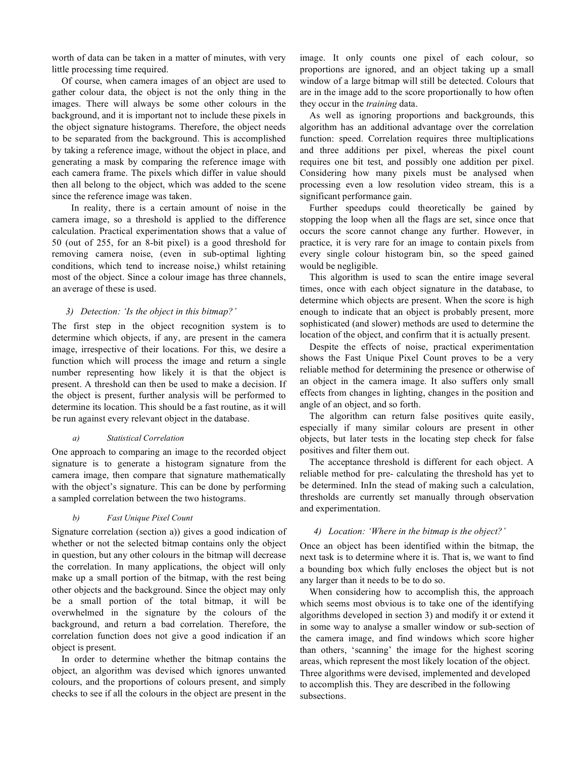worth of data can be taken in a matter of minutes, with very little processing time required.

Of course, when camera images of an object are used to gather colour data, the object is not the only thing in the images. There will always be some other colours in the background, and it is important not to include these pixels in the object signature histograms. Therefore, the object needs to be separated from the background. This is accomplished by taking a reference image, without the object in place, and generating a mask by comparing the reference image with each camera frame. The pixels which differ in value should then all belong to the object, which was added to the scene since the reference image was taken.

In reality, there is a certain amount of noise in the camera image, so a threshold is applied to the difference calculation. Practical experimentation shows that a value of 50 (out of 255, for an 8-bit pixel) is a good threshold for removing camera noise, (even in sub-optimal lighting conditions, which tend to increase noise,) whilst retaining most of the object. Since a colour image has three channels, an average of these is used.

# *3) Detection: 'Is the object in this bitmap?'*

The first step in the object recognition system is to determine which objects, if any, are present in the camera image, irrespective of their locations. For this, we desire a function which will process the image and return a single number representing how likely it is that the object is present. A threshold can then be used to make a decision. If the object is present, further analysis will be performed to determine its location. This should be a fast routine, as it will be run against every relevant object in the database.

#### *a) Statistical Correlation*

One approach to comparing an image to the recorded object signature is to generate a histogram signature from the camera image, then compare that signature mathematically with the object's signature. This can be done by performing a sampled correlation between the two histograms.

### *b) Fast Unique Pixel Count*

Signature correlation (section a)) gives a good indication of whether or not the selected bitmap contains only the object in question, but any other colours in the bitmap will decrease the correlation. In many applications, the object will only make up a small portion of the bitmap, with the rest being other objects and the background. Since the object may only be a small portion of the total bitmap, it will be overwhelmed in the signature by the colours of the background, and return a bad correlation. Therefore, the correlation function does not give a good indication if an object is present.

In order to determine whether the bitmap contains the object, an algorithm was devised which ignores unwanted colours, and the proportions of colours present, and simply checks to see if all the colours in the object are present in the

image. It only counts one pixel of each colour, so proportions are ignored, and an object taking up a small window of a large bitmap will still be detected. Colours that are in the image add to the score proportionally to how often they occur in the *training* data.

As well as ignoring proportions and backgrounds, this algorithm has an additional advantage over the correlation function: speed. Correlation requires three multiplications and three additions per pixel, whereas the pixel count requires one bit test, and possibly one addition per pixel. Considering how many pixels must be analysed when processing even a low resolution video stream, this is a significant performance gain.

Further speedups could theoretically be gained by stopping the loop when all the flags are set, since once that occurs the score cannot change any further. However, in practice, it is very rare for an image to contain pixels from every single colour histogram bin, so the speed gained would be negligible.

This algorithm is used to scan the entire image several times, once with each object signature in the database, to determine which objects are present. When the score is high enough to indicate that an object is probably present, more sophisticated (and slower) methods are used to determine the location of the object, and confirm that it is actually present.

Despite the effects of noise, practical experimentation shows the Fast Unique Pixel Count proves to be a very reliable method for determining the presence or otherwise of an object in the camera image. It also suffers only small effects from changes in lighting, changes in the position and angle of an object, and so forth.

The algorithm can return false positives quite easily, especially if many similar colours are present in other objects, but later tests in the locating step check for false positives and filter them out.

The acceptance threshold is different for each object. A reliable method for pre- calculating the threshold has yet to be determined. InIn the stead of making such a calculation, thresholds are currently set manually through observation and experimentation.

## *4) Location: 'Where in the bitmap is the object?'*

Once an object has been identified within the bitmap, the next task is to determine where it is. That is, we want to find a bounding box which fully encloses the object but is not any larger than it needs to be to do so.

When considering how to accomplish this, the approach which seems most obvious is to take one of the identifying algorithms developed in section 3) and modify it or extend it in some way to analyse a smaller window or sub-section of the camera image, and find windows which score higher than others, 'scanning' the image for the highest scoring areas, which represent the most likely location of the object. Three algorithms were devised, implemented and developed to accomplish this. They are described in the following subsections.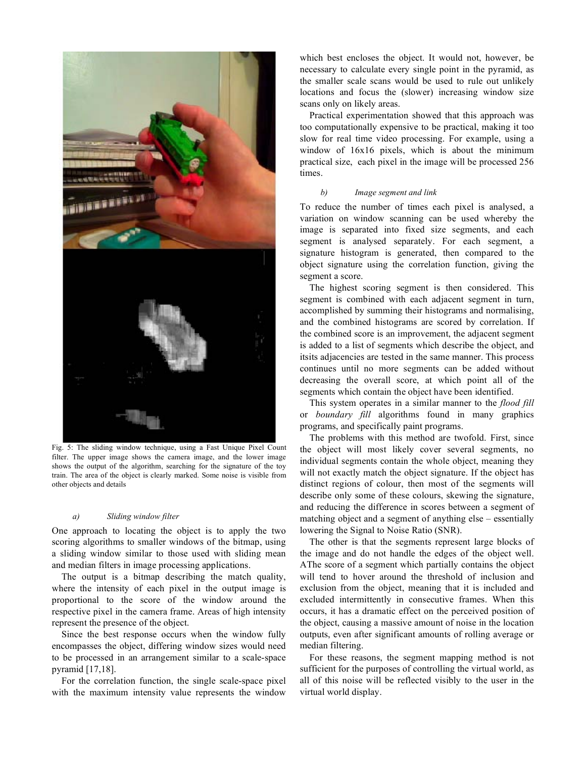

Fig. 5: The sliding window technique, using a Fast Unique Pixel Count filter. The upper image shows the camera image, and the lower image shows the output of the algorithm, searching for the signature of the toy train. The area of the object is clearly marked. Some noise is visible from other objects and details

### *a) Sliding window filter*

One approach to locating the object is to apply the two scoring algorithms to smaller windows of the bitmap, using a sliding window similar to those used with sliding mean and median filters in image processing applications.

The output is a bitmap describing the match quality, where the intensity of each pixel in the output image is proportional to the score of the window around the respective pixel in the camera frame. Areas of high intensity represent the presence of the object.

Since the best response occurs when the window fully encompasses the object, differing window sizes would need to be processed in an arrangement similar to a scale-space pyramid [17,18].

For the correlation function, the single scale-space pixel with the maximum intensity value represents the window

which best encloses the object. It would not, however, be necessary to calculate every single point in the pyramid, as the smaller scale scans would be used to rule out unlikely locations and focus the (slower) increasing window size scans only on likely areas.

Practical experimentation showed that this approach was too computationally expensive to be practical, making it too slow for real time video processing. For example, using a window of 16x16 pixels, which is about the minimum practical size, each pixel in the image will be processed 256 times.

#### *b) Image segment and link*

To reduce the number of times each pixel is analysed, a variation on window scanning can be used whereby the image is separated into fixed size segments, and each segment is analysed separately. For each segment, a signature histogram is generated, then compared to the object signature using the correlation function, giving the segment a score.

The highest scoring segment is then considered. This segment is combined with each adjacent segment in turn, accomplished by summing their histograms and normalising, and the combined histograms are scored by correlation. If the combined score is an improvement, the adjacent segment is added to a list of segments which describe the object, and itsits adjacencies are tested in the same manner. This process continues until no more segments can be added without decreasing the overall score, at which point all of the segments which contain the object have been identified.

This system operates in a similar manner to the *flood fill* or *boundary fill* algorithms found in many graphics programs, and specifically paint programs.

The problems with this method are twofold. First, since the object will most likely cover several segments, no individual segments contain the whole object, meaning they will not exactly match the object signature. If the object has distinct regions of colour, then most of the segments will describe only some of these colours, skewing the signature, and reducing the difference in scores between a segment of matching object and a segment of anything else – essentially lowering the Signal to Noise Ratio (SNR).

The other is that the segments represent large blocks of the image and do not handle the edges of the object well. AThe score of a segment which partially contains the object will tend to hover around the threshold of inclusion and exclusion from the object, meaning that it is included and excluded intermittently in consecutive frames. When this occurs, it has a dramatic effect on the perceived position of the object, causing a massive amount of noise in the location outputs, even after significant amounts of rolling average or median filtering.

For these reasons, the segment mapping method is not sufficient for the purposes of controlling the virtual world, as all of this noise will be reflected visibly to the user in the virtual world display.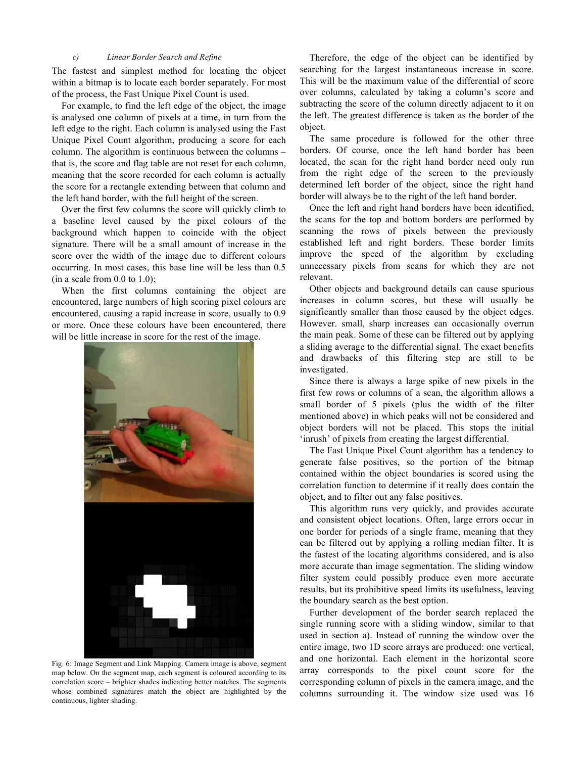#### *c) Linear Border Search and Refine*

The fastest and simplest method for locating the object within a bitmap is to locate each border separately. For most of the process, the Fast Unique Pixel Count is used.

For example, to find the left edge of the object, the image is analysed one column of pixels at a time, in turn from the left edge to the right. Each column is analysed using the Fast Unique Pixel Count algorithm, producing a score for each column. The algorithm is continuous between the columns – that is, the score and flag table are not reset for each column, meaning that the score recorded for each column is actually the score for a rectangle extending between that column and the left hand border, with the full height of the screen.

Over the first few columns the score will quickly climb to a baseline level caused by the pixel colours of the background which happen to coincide with the object signature. There will be a small amount of increase in the score over the width of the image due to different colours occurring. In most cases, this base line will be less than 0.5 (in a scale from  $0.0$  to  $1.0$ );

When the first columns containing the object are encountered, large numbers of high scoring pixel colours are encountered, causing a rapid increase in score, usually to 0.9 or more. Once these colours have been encountered, there will be little increase in score for the rest of the image.



Fig. 6: Image Segment and Link Mapping. Camera image is above, segment map below. On the segment map, each segment is coloured according to its correlation score – brighter shades indicating better matches. The segments whose combined signatures match the object are highlighted by the continuous, lighter shading.

Therefore, the edge of the object can be identified by searching for the largest instantaneous increase in score. This will be the maximum value of the differential of score over columns, calculated by taking a column's score and subtracting the score of the column directly adjacent to it on the left. The greatest difference is taken as the border of the object.

The same procedure is followed for the other three borders. Of course, once the left hand border has been located, the scan for the right hand border need only run from the right edge of the screen to the previously determined left border of the object, since the right hand border will always be to the right of the left hand border.

Once the left and right hand borders have been identified, the scans for the top and bottom borders are performed by scanning the rows of pixels between the previously established left and right borders. These border limits improve the speed of the algorithm by excluding unnecessary pixels from scans for which they are not relevant.

Other objects and background details can cause spurious increases in column scores, but these will usually be significantly smaller than those caused by the object edges. However. small, sharp increases can occasionally overrun the main peak. Some of these can be filtered out by applying a sliding average to the differential signal. The exact benefits and drawbacks of this filtering step are still to be investigated.

Since there is always a large spike of new pixels in the first few rows or columns of a scan, the algorithm allows a small border of 5 pixels (plus the width of the filter mentioned above) in which peaks will not be considered and object borders will not be placed. This stops the initial 'inrush' of pixels from creating the largest differential.

The Fast Unique Pixel Count algorithm has a tendency to generate false positives, so the portion of the bitmap contained within the object boundaries is scored using the correlation function to determine if it really does contain the object, and to filter out any false positives.

This algorithm runs very quickly, and provides accurate and consistent object locations. Often, large errors occur in one border for periods of a single frame, meaning that they can be filtered out by applying a rolling median filter. It is the fastest of the locating algorithms considered, and is also more accurate than image segmentation. The sliding window filter system could possibly produce even more accurate results, but its prohibitive speed limits its usefulness, leaving the boundary search as the best option.

Further development of the border search replaced the single running score with a sliding window, similar to that used in section a). Instead of running the window over the entire image, two 1D score arrays are produced: one vertical, and one horizontal. Each element in the horizontal score array corresponds to the pixel count score for the corresponding column of pixels in the camera image, and the columns surrounding it. The window size used was 16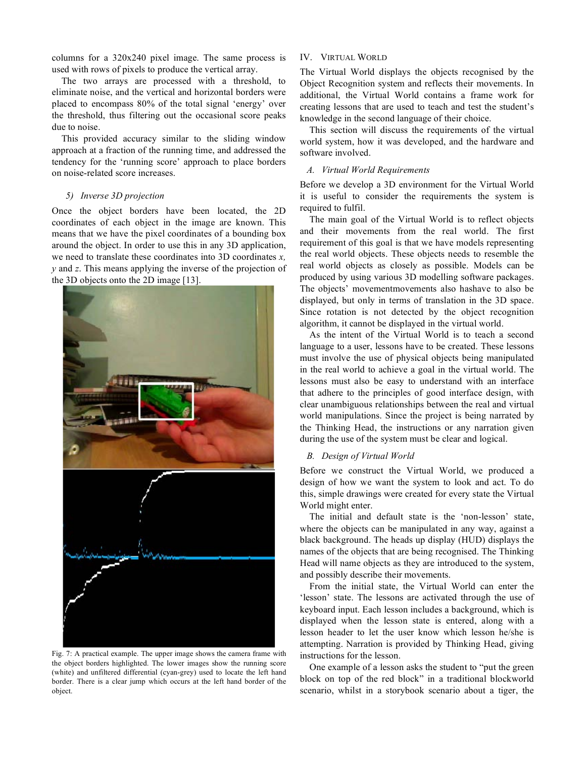columns for a 320x240 pixel image. The same process is used with rows of pixels to produce the vertical array.

The two arrays are processed with a threshold, to eliminate noise, and the vertical and horizontal borders were placed to encompass 80% of the total signal 'energy' over the threshold, thus filtering out the occasional score peaks due to noise.

This provided accuracy similar to the sliding window approach at a fraction of the running time, and addressed the tendency for the 'running score' approach to place borders on noise-related score increases.

# *5) Inverse 3D projection*

Once the object borders have been located, the 2D coordinates of each object in the image are known. This means that we have the pixel coordinates of a bounding box around the object. In order to use this in any 3D application, we need to translate these coordinates into 3D coordinates *x, y* and *z*. This means applying the inverse of the projection of the 3D objects onto the 2D image [13].



Fig. 7: A practical example. The upper image shows the camera frame with the object borders highlighted. The lower images show the running score (white) and unfiltered differential (cyan-grey) used to locate the left hand border. There is a clear jump which occurs at the left hand border of the object.

### IV. VIRTUAL WORLD

The Virtual World displays the objects recognised by the Object Recognition system and reflects their movements. In additional, the Virtual World contains a frame work for creating lessons that are used to teach and test the student's knowledge in the second language of their choice.

This section will discuss the requirements of the virtual world system, how it was developed, and the hardware and software involved.

# *A. Virtual World Requirements*

Before we develop a 3D environment for the Virtual World it is useful to consider the requirements the system is required to fulfil.

The main goal of the Virtual World is to reflect objects and their movements from the real world. The first requirement of this goal is that we have models representing the real world objects. These objects needs to resemble the real world objects as closely as possible. Models can be produced by using various 3D modelling software packages. The objects' movementmovements also hashave to also be displayed, but only in terms of translation in the 3D space. Since rotation is not detected by the object recognition algorithm, it cannot be displayed in the virtual world.

As the intent of the Virtual World is to teach a second language to a user, lessons have to be created. These lessons must involve the use of physical objects being manipulated in the real world to achieve a goal in the virtual world. The lessons must also be easy to understand with an interface that adhere to the principles of good interface design, with clear unambiguous relationships between the real and virtual world manipulations. Since the project is being narrated by the Thinking Head, the instructions or any narration given during the use of the system must be clear and logical.

### *B. Design of Virtual World*

Before we construct the Virtual World, we produced a design of how we want the system to look and act. To do this, simple drawings were created for every state the Virtual World might enter.

The initial and default state is the 'non-lesson' state, where the objects can be manipulated in any way, against a black background. The heads up display (HUD) displays the names of the objects that are being recognised. The Thinking Head will name objects as they are introduced to the system, and possibly describe their movements.

From the initial state, the Virtual World can enter the 'lesson' state. The lessons are activated through the use of keyboard input. Each lesson includes a background, which is displayed when the lesson state is entered, along with a lesson header to let the user know which lesson he/she is attempting. Narration is provided by Thinking Head, giving instructions for the lesson.

One example of a lesson asks the student to "put the green block on top of the red block" in a traditional blockworld scenario, whilst in a storybook scenario about a tiger, the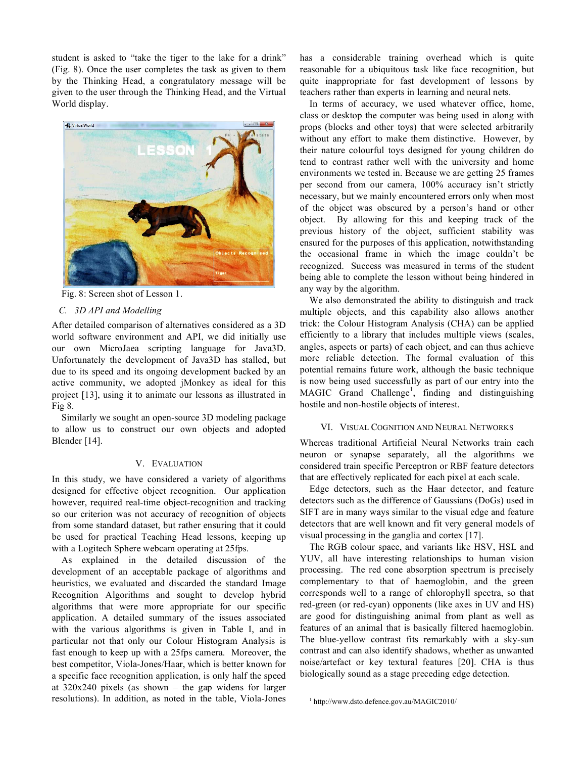student is asked to "take the tiger to the lake for a drink" (Fig. 8). Once the user completes the task as given to them by the Thinking Head, a congratulatory message will be given to the user through the Thinking Head, and the Virtual World display.



Fig. 8: Screen shot of Lesson 1.

# *C. 3D API and Modelling*

After detailed comparison of alternatives considered as a 3D world software environment and API, we did initially use our own MicroJaea scripting language for Java3D. Unfortunately the development of Java3D has stalled, but due to its speed and its ongoing development backed by an active community, we adopted jMonkey as ideal for this project [13], using it to animate our lessons as illustrated in Fig 8.

Similarly we sought an open-source 3D modeling package to allow us to construct our own objects and adopted Blender [14].

# V. EVALUATION

In this study, we have considered a variety of algorithms designed for effective object recognition. Our application however, required real-time object-recognition and tracking so our criterion was not accuracy of recognition of objects from some standard dataset, but rather ensuring that it could be used for practical Teaching Head lessons, keeping up with a Logitech Sphere webcam operating at 25fps.

As explained in the detailed discussion of the development of an acceptable package of algorithms and heuristics, we evaluated and discarded the standard Image Recognition Algorithms and sought to develop hybrid algorithms that were more appropriate for our specific application. A detailed summary of the issues associated with the various algorithms is given in Table I, and in particular not that only our Colour Histogram Analysis is fast enough to keep up with a 25fps camera. Moreover, the best competitor, Viola-Jones/Haar, which is better known for a specific face recognition application, is only half the speed at 320x240 pixels (as shown – the gap widens for larger resolutions). In addition, as noted in the table, Viola-Jones

has a considerable training overhead which is quite reasonable for a ubiquitous task like face recognition, but quite inappropriate for fast development of lessons by teachers rather than experts in learning and neural nets.

In terms of accuracy, we used whatever office, home, class or desktop the computer was being used in along with props (blocks and other toys) that were selected arbitrarily without any effort to make them distinctive. However, by their nature colourful toys designed for young children do tend to contrast rather well with the university and home environments we tested in. Because we are getting 25 frames per second from our camera, 100% accuracy isn't strictly necessary, but we mainly encountered errors only when most of the object was obscured by a person's hand or other object. By allowing for this and keeping track of the previous history of the object, sufficient stability was ensured for the purposes of this application, notwithstanding the occasional frame in which the image couldn't be recognized. Success was measured in terms of the student being able to complete the lesson without being hindered in any way by the algorithm.

We also demonstrated the ability to distinguish and track multiple objects, and this capability also allows another trick: the Colour Histogram Analysis (CHA) can be applied efficiently to a library that includes multiple views (scales, angles, aspects or parts) of each object, and can thus achieve more reliable detection. The formal evaluation of this potential remains future work, although the basic technique is now being used successfully as part of our entry into the MAGIC Grand Challenge<sup>1</sup>, finding and distinguishing hostile and non-hostile objects of interest.

### VI. VISUAL COGNITION AND NEURAL NETWORKS

Whereas traditional Artificial Neural Networks train each neuron or synapse separately, all the algorithms we considered train specific Perceptron or RBF feature detectors that are effectively replicated for each pixel at each scale.

Edge detectors, such as the Haar detector, and feature detectors such as the difference of Gaussians (DoGs) used in SIFT are in many ways similar to the visual edge and feature detectors that are well known and fit very general models of visual processing in the ganglia and cortex [17].

The RGB colour space, and variants like HSV, HSL and YUV, all have interesting relationships to human vision processing. The red cone absorption spectrum is precisely complementary to that of haemoglobin, and the green corresponds well to a range of chlorophyll spectra, so that red-green (or red-cyan) opponents (like axes in UV and HS) are good for distinguishing animal from plant as well as features of an animal that is basically filtered haemoglobin. The blue-yellow contrast fits remarkably with a sky-sun contrast and can also identify shadows, whether as unwanted noise/artefact or key textural features [20]. CHA is thus biologically sound as a stage preceding edge detection.

<sup>1</sup> http://www.dsto.defence.gov.au/MAGIC2010/